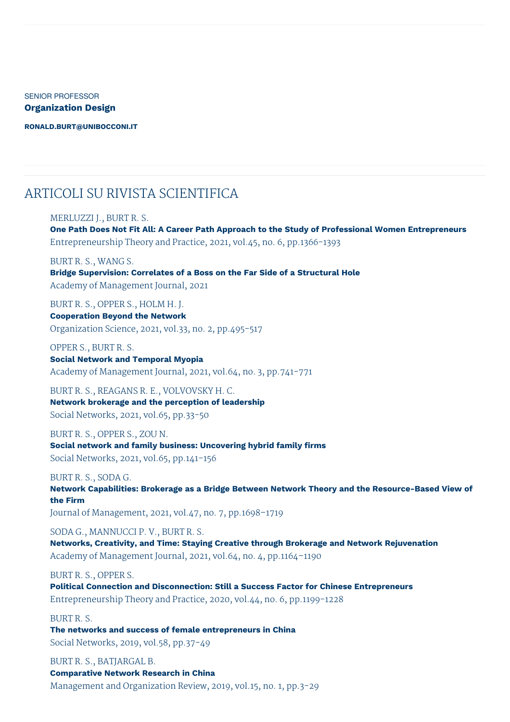SENIOR PROFESSOR **Organization Design**

**[RONALD.BURT@UNIBOCCONI.IT](mailto:ronald.burt@unibocconi.it)**

### ARTICOLI SU RIVISTA SCIENTIFICA

### MERLUZZI J., BURT R. S.

**One Path Does Not Fit All: A Career Path Approach to the Study of Professional Women Entrepreneurs** Entrepreneurship Theory and Practice, 2021, vol.45, no. 6, pp.1366-1393

BURT R. S., WANG S.

**Bridge Supervision: Correlates of a Boss on the Far Side of a Structural Hole** Academy of Management Journal, 2021

BURT R. S., OPPER S., HOLM H. J. **Cooperation Beyond the Network** Organization Science, 2021, vol.33, no. 2, pp.495-517

OPPER S., BURT R. S. **Social Network and Temporal Myopia** Academy of Management Journal, 2021, vol.64, no. 3, pp.741-771

BURT R. S., REAGANS R. E., VOLVOVSKY H. C. **Network brokerage and the perception of leadership** Social Networks, 2021, vol.65, pp.33-50

BURT R. S., OPPER S., ZOU N. **Social network and family business: Uncovering hybrid family firms** Social Networks, 2021, vol.65, pp.141-156

BURT R. S., SODA G. **Network Capabilities: Brokerage as a Bridge Between Network Theory and the Resource-Based View of the Firm** Journal of Management, 2021, vol.47, no. 7, pp.1698–1719

SODA G., MANNUCCI P. V., BURT R. S. **Networks, Creativity, and Time: Staying Creative through Brokerage and Network Rejuvenation** Academy of Management Journal, 2021, vol.64, no. 4, pp.1164–1190

BURT R. S., OPPER S.

**Political Connection and Disconnection: Still a Success Factor for Chinese Entrepreneurs** Entrepreneurship Theory and Practice, 2020, vol.44, no. 6, pp.1199-1228

BURT R. S. **The networks and success of female entrepreneurs in China** Social Networks, 2019, vol.58, pp.37-49

BURT R. S., BATJARGAL B. **Comparative Network Research in China** Management and Organization Review, 2019, vol.15, no. 1, pp.3-29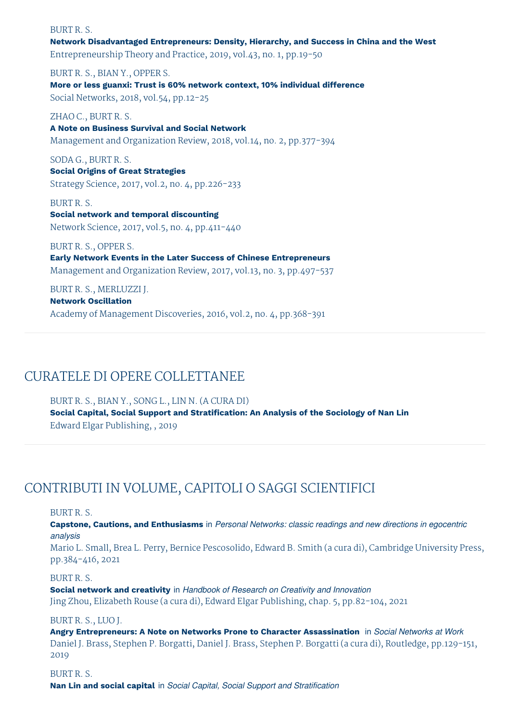### BURT R. S.

**Network Disadvantaged Entrepreneurs: Density, Hierarchy, and Success in China and the West** Entrepreneurship Theory and Practice, 2019, vol.43, no. 1, pp.19-50

BURT R. S., BIAN Y., OPPER S. **More or less guanxi: Trust is 60% network context, 10% individual difference** Social Networks, 2018, vol.54, pp.12-25

ZHAO C., BURT R. S. **A Note on Business Survival and Social Network** Management and Organization Review, 2018, vol.14, no. 2, pp.377-394

SODA G., BURT R. S. **Social Origins of Great Strategies** Strategy Science, 2017, vol.2, no. 4, pp.226-233

BURT R. S. **Social network and temporal discounting**

Network Science, 2017, vol.5, no. 4, pp.411-440

BURT R. S., OPPER S.

**Early Network Events in the Later Success of Chinese Entrepreneurs** Management and Organization Review, 2017, vol.13, no. 3, pp.497-537

BURT R. S., MERLUZZI J.

**Network Oscillation**

Academy of Management Discoveries, 2016, vol.2, no. 4, pp.368-391

# CURATELE DI OPERE COLLETTANEE

BURT R. S., BIAN Y., SONG L., LIN N. (A CURA DI) **Social Capital, Social Support and Stratification: An Analysis of the Sociology of Nan Lin** Edward Elgar Publishing, , 2019

# CONTRIBUTI IN VOLUME, CAPITOLI O SAGGI SCIENTIFICI

BURT R. S.

**Capstone, Cautions, and Enthusiasms** in *Personal Networks: classic readings and new directions in egocentric analysis*

Mario L. Small, Brea L. Perry, Bernice Pescosolido, Edward B. Smith (a cura di), Cambridge University Press, pp.384-416, 2021

BURT R. S.

**Social network and creativity** in *Handbook of Research on Creativity and Innovation* Jing Zhou, Elizabeth Rouse (a cura di), Edward Elgar Publishing, chap. 5, pp.82-104, 2021

BURT R. S., LUO J.

**Angry Entrepreneurs: A Note on Networks Prone to Character Assassination** in *Social Networks at Work* Daniel J. Brass, Stephen P. Borgatti, Daniel J. Brass, Stephen P. Borgatti (a cura di), Routledge, pp.129-151, 2019

BURT R. S. **Nan Lin and social capital** in *Social Capital, Social Support and Stratification*